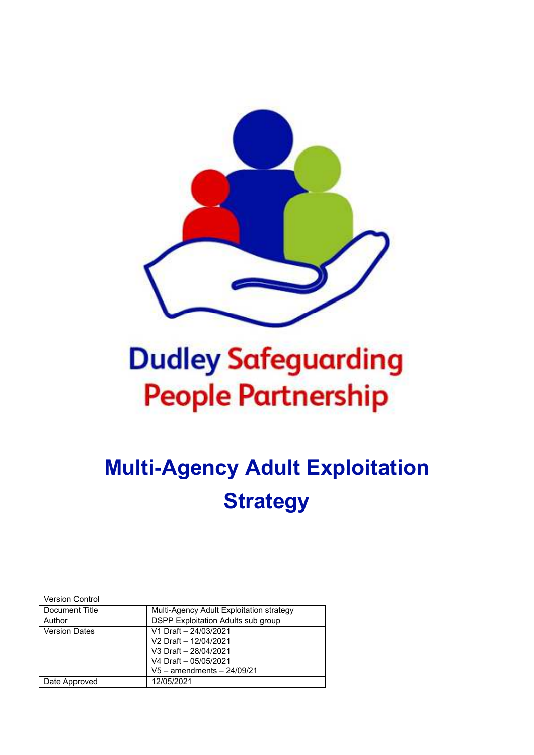

# **Dudley Safeguarding People Partnership**

## **Multi-Agency Adult Exploitation Strategy**

Version Control

| Document Title       | Multi-Agency Adult Exploitation strategy |
|----------------------|------------------------------------------|
| Author               | DSPP Exploitation Adults sub group       |
| <b>Version Dates</b> | V1 Draft - 24/03/2021                    |
|                      | V2 Draft - 12/04/2021                    |
|                      | V3 Draft - 28/04/2021                    |
|                      | V4 Draft - 05/05/2021                    |
|                      | $V5 - amendments - 24/09/21$             |
| Date Approved        | 12/05/2021                               |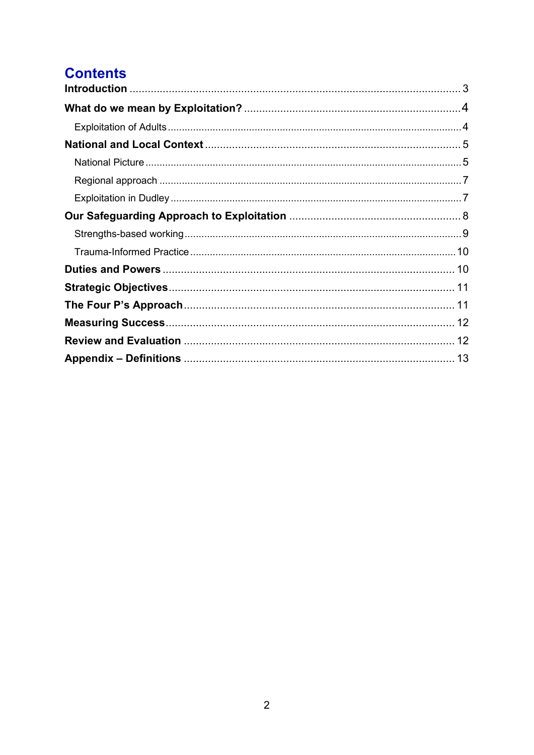## **Contents**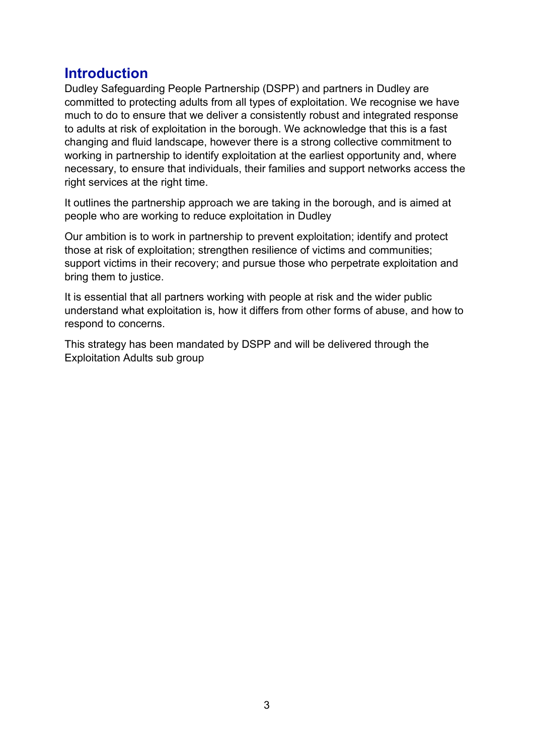## **Introduction**

Dudley Safeguarding People Partnership (DSPP) and partners in Dudley are committed to protecting adults from all types of exploitation. We recognise we have much to do to ensure that we deliver a consistently robust and integrated response to adults at risk of exploitation in the borough. We acknowledge that this is a fast changing and fluid landscape, however there is a strong collective commitment to working in partnership to identify exploitation at the earliest opportunity and, where necessary, to ensure that individuals, their families and support networks access the right services at the right time.

It outlines the partnership approach we are taking in the borough, and is aimed at people who are working to reduce exploitation in Dudley

Our ambition is to work in partnership to prevent exploitation; identify and protect those at risk of exploitation; strengthen resilience of victims and communities; support victims in their recovery; and pursue those who perpetrate exploitation and bring them to justice.

It is essential that all partners working with people at risk and the wider public understand what exploitation is, how it differs from other forms of abuse, and how to respond to concerns.

This strategy has been mandated by DSPP and will be delivered through the Exploitation Adults sub group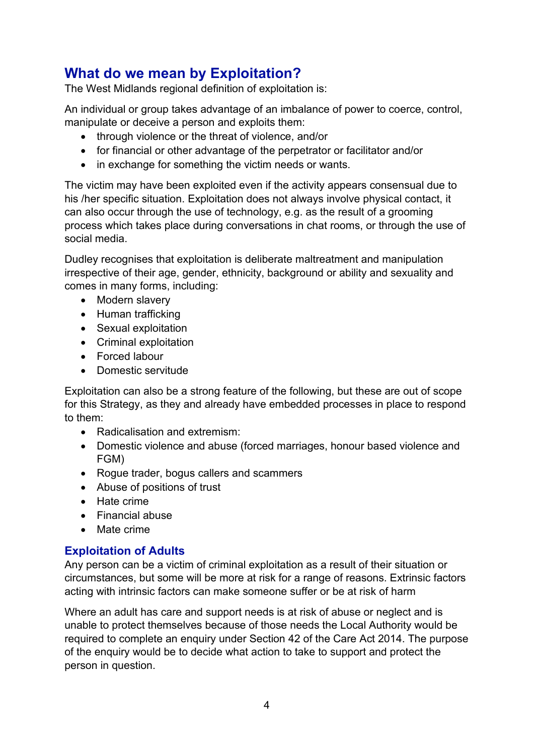## **What do we mean by Exploitation?**

The West Midlands regional definition of exploitation is:

An individual or group takes advantage of an imbalance of power to coerce, control, manipulate or deceive a person and exploits them:

- through violence or the threat of violence, and/or
- for financial or other advantage of the perpetrator or facilitator and/or
- in exchange for something the victim needs or wants.

The victim may have been exploited even if the activity appears consensual due to his /her specific situation. Exploitation does not always involve physical contact, it can also occur through the use of technology, e.g. as the result of a grooming process which takes place during conversations in chat rooms, or through the use of social media.

Dudley recognises that exploitation is deliberate maltreatment and manipulation irrespective of their age, gender, ethnicity, background or ability and sexuality and comes in many forms, including:

- Modern slavery
- Human trafficking
- Sexual exploitation
- Criminal exploitation
- Forced labour
- Domestic servitude

Exploitation can also be a strong feature of the following, but these are out of scope for this Strategy, as they and already have embedded processes in place to respond to them:

- Radicalisation and extremism:
- Domestic violence and abuse (forced marriages, honour based violence and FGM)
- Rogue trader, bogus callers and scammers
- Abuse of positions of trust
- Hate crime
- Financial abuse
- Mate crime

#### **Exploitation of Adults**

Any person can be a victim of criminal exploitation as a result of their situation or circumstances, but some will be more at risk for a range of reasons. Extrinsic factors acting with intrinsic factors can make someone suffer or be at risk of harm

Where an adult has care and support needs is at risk of abuse or neglect and is unable to protect themselves because of those needs the Local Authority would be required to complete an enquiry under Section 42 of the Care Act 2014. The purpose of the enquiry would be to decide what action to take to support and protect the person in question.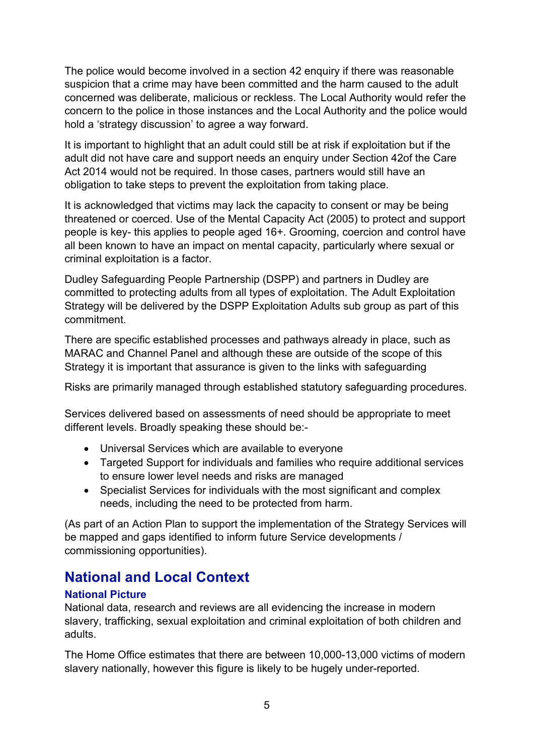The police would become involved in a section 42 enquiry if there was reasonable suspicion that a crime may have been committed and the harm caused to the adult concerned was deliberate, malicious or reckless. The Local Authority would refer the concern to the police in those instances and the Local Authority and the police would hold a 'strategy discussion' to agree a way forward.

It is important to highlight that an adult could still be at risk if exploitation but if the adult did not have care and support needs an enquiry under Section 42of the Care Act 2014 would not be required. In those cases, partners would still have an obligation to take steps to prevent the exploitation from taking place.

It is acknowledged that victims may lack the capacity to consent or may be being threatened or coerced. Use of the Mental Capacity Act (2005) to protect and support people is key- this applies to people aged 16+. Grooming, coercion and control have all been known to have an impact on mental capacity, particularly where sexual or criminal exploitation is a factor.

Dudley Safeguarding People Partnership (DSPP) and partners in Dudley are committed to protecting adults from all types of exploitation. The Adult Exploitation Strategy will be delivered by the DSPP Exploitation Adults sub group as part of this commitment.

There are specific established processes and pathways already in place, such as MARAC and Channel Panel and although these are outside of the scope of this Strategy it is important that assurance is given to the links with safeguarding

Risks are primarily managed through established statutory safeguarding procedures.

Services delivered based on assessments of need should be appropriate to meet different levels. Broadly speaking these should be:-

- Universal Services which are available to everyone
- Targeted Support for individuals and families who require additional services to ensure lower level needs and risks are managed
- Specialist Services for individuals with the most significant and complex needs, including the need to be protected from harm.

(As part of an Action Plan to support the implementation of the Strategy Services will be mapped and gaps identified to inform future Service developments / commissioning opportunities).

## **National and Local Context**

#### **National Picture**

National data, research and reviews are all evidencing the increase in modern slavery, trafficking, sexual exploitation and criminal exploitation of both children and adults.

The Home Office estimates that there are between 10,000-13,000 victims of modern slavery nationally, however this figure is likely to be hugely under-reported.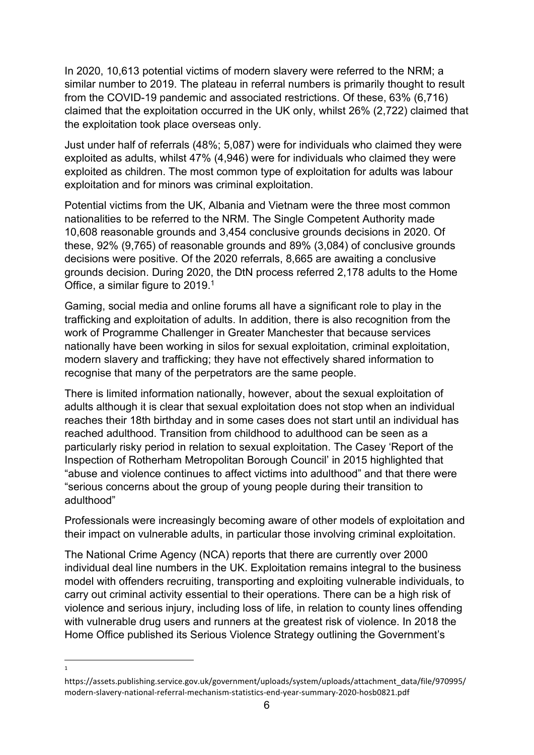In 2020, 10,613 potential victims of modern slavery were referred to the NRM; a similar number to 2019. The plateau in referral numbers is primarily thought to result from the COVID-19 pandemic and associated restrictions. Of these, 63% (6,716) claimed that the exploitation occurred in the UK only, whilst 26% (2,722) claimed that the exploitation took place overseas only.

Just under half of referrals (48%; 5,087) were for individuals who claimed they were exploited as adults, whilst 47% (4,946) were for individuals who claimed they were exploited as children. The most common type of exploitation for adults was labour exploitation and for minors was criminal exploitation.

Potential victims from the UK, Albania and Vietnam were the three most common nationalities to be referred to the NRM. The Single Competent Authority made 10,608 reasonable grounds and 3,454 conclusive grounds decisions in 2020. Of these, 92% (9,765) of reasonable grounds and 89% (3,084) of conclusive grounds decisions were positive. Of the 2020 referrals, 8,665 are awaiting a conclusive grounds decision. During 2020, the DtN process referred 2,178 adults to the Home Office, a similar figure to 2019.<sup>1</sup>

Gaming, social media and online forums all have a significant role to play in the trafficking and exploitation of adults. In addition, there is also recognition from the work of Programme Challenger in Greater Manchester that because services nationally have been working in silos for sexual exploitation, criminal exploitation, modern slavery and trafficking; they have not effectively shared information to recognise that many of the perpetrators are the same people.

There is limited information nationally, however, about the sexual exploitation of adults although it is clear that sexual exploitation does not stop when an individual reaches their 18th birthday and in some cases does not start until an individual has reached adulthood. Transition from childhood to adulthood can be seen as a particularly risky period in relation to sexual exploitation. The Casey 'Report of the Inspection of Rotherham Metropolitan Borough Council' in 2015 highlighted that "abuse and violence continues to affect victims into adulthood" and that there were "serious concerns about the group of young people during their transition to adulthood"

Professionals were increasingly becoming aware of other models of exploitation and their impact on vulnerable adults, in particular those involving criminal exploitation.

The National Crime Agency (NCA) reports that there are currently over 2000 individual deal line numbers in the UK. Exploitation remains integral to the business model with offenders recruiting, transporting and exploiting vulnerable individuals, to carry out criminal activity essential to their operations. There can be a high risk of violence and serious injury, including loss of life, in relation to county lines offending with vulnerable drug users and runners at the greatest risk of violence. In 2018 the Home Office published its Serious Violence Strategy outlining the Government's

1

https://assets.publishing.service.gov.uk/government/uploads/system/uploads/attachment\_data/file/970995/ modern-slavery-national-referral-mechanism-statistics-end-year-summary-2020-hosb0821.pdf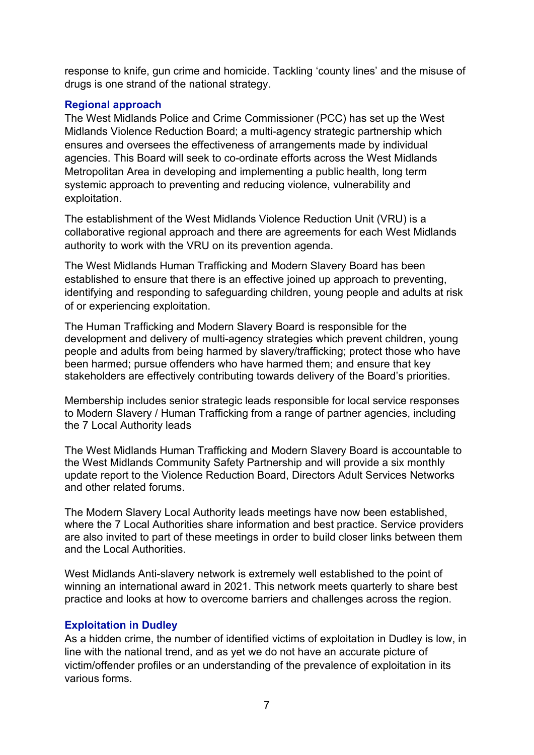response to knife, gun crime and homicide. Tackling 'county lines' and the misuse of drugs is one strand of the national strategy.

#### **Regional approach**

The West Midlands Police and Crime Commissioner (PCC) has set up the West Midlands Violence Reduction Board; a multi-agency strategic partnership which ensures and oversees the effectiveness of arrangements made by individual agencies. This Board will seek to co-ordinate efforts across the West Midlands Metropolitan Area in developing and implementing a public health, long term systemic approach to preventing and reducing violence, vulnerability and exploitation.

The establishment of the West Midlands Violence Reduction Unit (VRU) is a collaborative regional approach and there are agreements for each West Midlands authority to work with the VRU on its prevention agenda.

The West Midlands Human Trafficking and Modern Slavery Board has been established to ensure that there is an effective joined up approach to preventing, identifying and responding to safeguarding children, young people and adults at risk of or experiencing exploitation.

The Human Trafficking and Modern Slavery Board is responsible for the development and delivery of multi-agency strategies which prevent children, young people and adults from being harmed by slavery/trafficking; protect those who have been harmed; pursue offenders who have harmed them; and ensure that key stakeholders are effectively contributing towards delivery of the Board's priorities.

Membership includes senior strategic leads responsible for local service responses to Modern Slavery / Human Trafficking from a range of partner agencies, including the 7 Local Authority leads

The West Midlands Human Trafficking and Modern Slavery Board is accountable to the West Midlands Community Safety Partnership and will provide a six monthly update report to the Violence Reduction Board, Directors Adult Services Networks and other related forums.

The Modern Slavery Local Authority leads meetings have now been established, where the 7 Local Authorities share information and best practice. Service providers are also invited to part of these meetings in order to build closer links between them and the Local Authorities.

West Midlands Anti-slavery network is extremely well established to the point of winning an international award in 2021. This network meets quarterly to share best practice and looks at how to overcome barriers and challenges across the region.

#### **Exploitation in Dudley**

As a hidden crime, the number of identified victims of exploitation in Dudley is low, in line with the national trend, and as yet we do not have an accurate picture of victim/offender profiles or an understanding of the prevalence of exploitation in its various forms.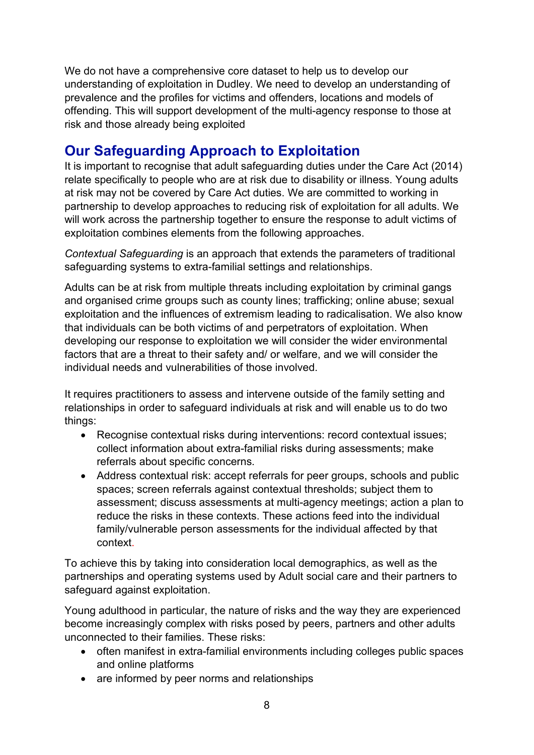We do not have a comprehensive core dataset to help us to develop our understanding of exploitation in Dudley. We need to develop an understanding of prevalence and the profiles for victims and offenders, locations and models of offending. This will support development of the multi-agency response to those at risk and those already being exploited

## **Our Safeguarding Approach to Exploitation**

It is important to recognise that adult safeguarding duties under the Care Act (2014) relate specifically to people who are at risk due to disability or illness. Young adults at risk may not be covered by Care Act duties. We are committed to working in partnership to develop approaches to reducing risk of exploitation for all adults. We will work across the partnership together to ensure the response to adult victims of exploitation combines elements from the following approaches.

*Contextual Safeguarding* is an approach that extends the parameters of traditional safeguarding systems to extra-familial settings and relationships.

Adults can be at risk from multiple threats including exploitation by criminal gangs and organised crime groups such as county lines; trafficking; online abuse; sexual exploitation and the influences of extremism leading to radicalisation. We also know that individuals can be both victims of and perpetrators of exploitation. When developing our response to exploitation we will consider the wider environmental factors that are a threat to their safety and/ or welfare, and we will consider the individual needs and vulnerabilities of those involved.

It requires practitioners to assess and intervene outside of the family setting and relationships in order to safeguard individuals at risk and will enable us to do two things:

- Recognise contextual risks during interventions: record contextual issues; collect information about extra-familial risks during assessments; make referrals about specific concerns.
- Address contextual risk: accept referrals for peer groups, schools and public spaces; screen referrals against contextual thresholds; subject them to assessment; discuss assessments at multi-agency meetings; action a plan to reduce the risks in these contexts. These actions feed into the individual family/vulnerable person assessments for the individual affected by that context.

To achieve this by taking into consideration local demographics, as well as the partnerships and operating systems used by Adult social care and their partners to safeguard against exploitation.

Young adulthood in particular, the nature of risks and the way they are experienced become increasingly complex with risks posed by peers, partners and other adults unconnected to their families. These risks:

- often manifest in extra-familial environments including colleges public spaces and online platforms
- are informed by peer norms and relationships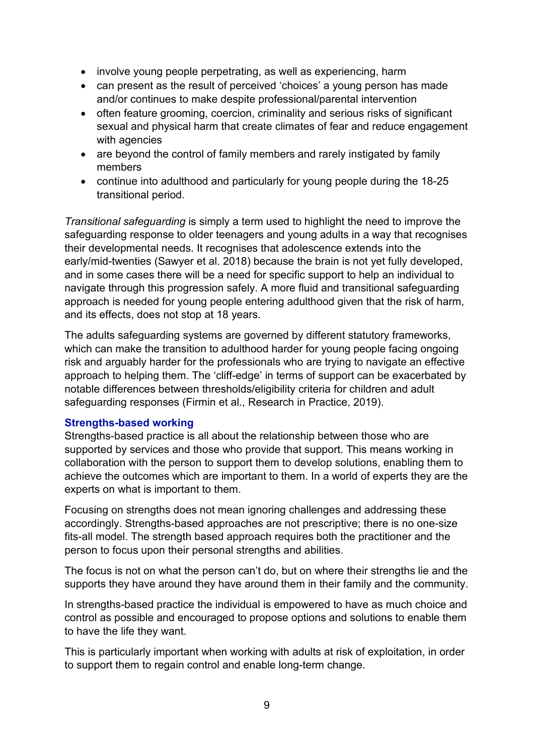- involve young people perpetrating, as well as experiencing, harm
- can present as the result of perceived 'choices' a young person has made and/or continues to make despite professional/parental intervention
- often feature grooming, coercion, criminality and serious risks of significant sexual and physical harm that create climates of fear and reduce engagement with agencies
- are beyond the control of family members and rarely instigated by family members
- continue into adulthood and particularly for young people during the 18-25 transitional period.

*Transitional safeguarding* is simply a term used to highlight the need to improve the safeguarding response to older teenagers and young adults in a way that recognises their developmental needs. It recognises that adolescence extends into the early/mid-twenties (Sawyer et al. 2018) because the brain is not yet fully developed, and in some cases there will be a need for specific support to help an individual to navigate through this progression safely. A more fluid and transitional safeguarding approach is needed for young people entering adulthood given that the risk of harm, and its effects, does not stop at 18 years.

The adults safeguarding systems are governed by different statutory frameworks, which can make the transition to adulthood harder for young people facing ongoing risk and arguably harder for the professionals who are trying to navigate an effective approach to helping them. The 'cliff-edge' in terms of support can be exacerbated by notable differences between thresholds/eligibility criteria for children and adult safeguarding responses (Firmin et al., Research in Practice, 2019).

#### **Strengths-based working**

Strengths-based practice is all about the relationship between those who are supported by services and those who provide that support. This means working in collaboration with the person to support them to develop solutions, enabling them to achieve the outcomes which are important to them. In a world of experts they are the experts on what is important to them.

Focusing on strengths does not mean ignoring challenges and addressing these accordingly. Strengths-based approaches are not prescriptive; there is no one-size fits-all model. The strength based approach requires both the practitioner and the person to focus upon their personal strengths and abilities.

The focus is not on what the person can't do, but on where their strengths lie and the supports they have around they have around them in their family and the community.

In strengths-based practice the individual is empowered to have as much choice and control as possible and encouraged to propose options and solutions to enable them to have the life they want.

This is particularly important when working with adults at risk of exploitation, in order to support them to regain control and enable long-term change.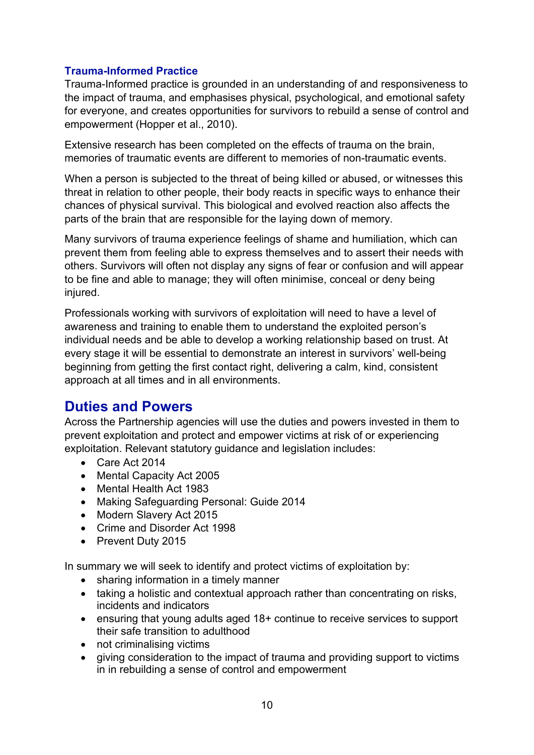#### **Trauma-Informed Practice**

Trauma-Informed practice is grounded in an understanding of and responsiveness to the impact of trauma, and emphasises physical, psychological, and emotional safety for everyone, and creates opportunities for survivors to rebuild a sense of control and empowerment (Hopper et al., 2010).

Extensive research has been completed on the effects of trauma on the brain, memories of traumatic events are different to memories of non-traumatic events.

When a person is subjected to the threat of being killed or abused, or witnesses this threat in relation to other people, their body reacts in specific ways to enhance their chances of physical survival. This biological and evolved reaction also affects the parts of the brain that are responsible for the laying down of memory.

Many survivors of trauma experience feelings of shame and humiliation, which can prevent them from feeling able to express themselves and to assert their needs with others. Survivors will often not display any signs of fear or confusion and will appear to be fine and able to manage; they will often minimise, conceal or deny being injured.

Professionals working with survivors of exploitation will need to have a level of awareness and training to enable them to understand the exploited person's individual needs and be able to develop a working relationship based on trust. At every stage it will be essential to demonstrate an interest in survivors' well-being beginning from getting the first contact right, delivering a calm, kind, consistent approach at all times and in all environments.

## **Duties and Powers**

Across the Partnership agencies will use the duties and powers invested in them to prevent exploitation and protect and empower victims at risk of or experiencing exploitation. Relevant statutory guidance and legislation includes:

- Care Act 2014
- Mental Capacity Act 2005
- Mental Health Act 1983
- Making Safeguarding Personal: Guide 2014
- Modern Slavery Act 2015
- Crime and Disorder Act 1998
- Prevent Duty 2015

In summary we will seek to identify and protect victims of exploitation by:

- sharing information in a timely manner
- taking a holistic and contextual approach rather than concentrating on risks, incidents and indicators
- ensuring that young adults aged 18+ continue to receive services to support their safe transition to adulthood
- not criminalising victims
- giving consideration to the impact of trauma and providing support to victims in in rebuilding a sense of control and empowerment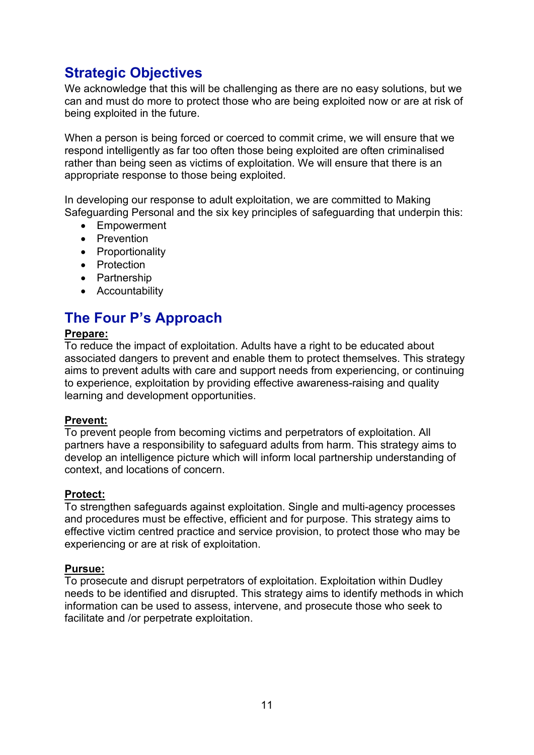## **Strategic Objectives**

We acknowledge that this will be challenging as there are no easy solutions, but we can and must do more to protect those who are being exploited now or are at risk of being exploited in the future.

When a person is being forced or coerced to commit crime, we will ensure that we respond intelligently as far too often those being exploited are often criminalised rather than being seen as victims of exploitation. We will ensure that there is an appropriate response to those being exploited.

In developing our response to adult exploitation, we are committed to Making Safeguarding Personal and the six key principles of safeguarding that underpin this:

- Empowerment
- Prevention
- Proportionality
- Protection
- Partnership
- Accountability

## **The Four P's Approach**

#### **Prepare:**

To reduce the impact of exploitation. Adults have a right to be educated about associated dangers to prevent and enable them to protect themselves. This strategy aims to prevent adults with care and support needs from experiencing, or continuing to experience, exploitation by providing effective awareness-raising and quality learning and development opportunities.

#### **Prevent:**

To prevent people from becoming victims and perpetrators of exploitation. All partners have a responsibility to safeguard adults from harm. This strategy aims to develop an intelligence picture which will inform local partnership understanding of context, and locations of concern.

#### **Protect:**

To strengthen safeguards against exploitation. Single and multi-agency processes and procedures must be effective, efficient and for purpose. This strategy aims to effective victim centred practice and service provision, to protect those who may be experiencing or are at risk of exploitation.

#### **Pursue:**

To prosecute and disrupt perpetrators of exploitation. Exploitation within Dudley needs to be identified and disrupted. This strategy aims to identify methods in which information can be used to assess, intervene, and prosecute those who seek to facilitate and /or perpetrate exploitation.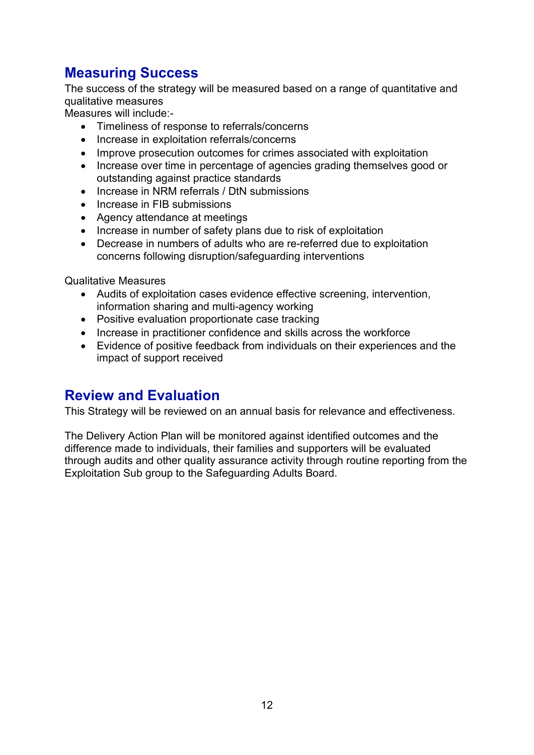## **Measuring Success**

The success of the strategy will be measured based on a range of quantitative and qualitative measures

Measures will include:-

- Timeliness of response to referrals/concerns
- Increase in exploitation referrals/concerns
- Improve prosecution outcomes for crimes associated with exploitation
- Increase over time in percentage of agencies grading themselves good or outstanding against practice standards
- Increase in NRM referrals / DtN submissions
- Increase in FIB submissions
- Agency attendance at meetings
- Increase in number of safety plans due to risk of exploitation
- Decrease in numbers of adults who are re-referred due to exploitation concerns following disruption/safeguarding interventions

Qualitative Measures

- Audits of exploitation cases evidence effective screening, intervention, information sharing and multi-agency working
- Positive evaluation proportionate case tracking
- Increase in practitioner confidence and skills across the workforce
- Evidence of positive feedback from individuals on their experiences and the impact of support received

### **Review and Evaluation**

This Strategy will be reviewed on an annual basis for relevance and effectiveness.

The Delivery Action Plan will be monitored against identified outcomes and the difference made to individuals, their families and supporters will be evaluated through audits and other quality assurance activity through routine reporting from the Exploitation Sub group to the Safeguarding Adults Board.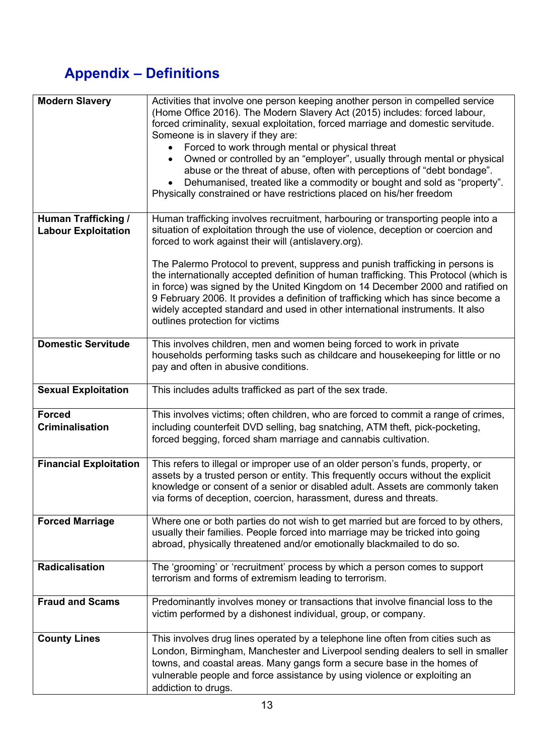## **Appendix – Definitions**

| <b>Modern Slavery</b>                                    | Activities that involve one person keeping another person in compelled service<br>(Home Office 2016). The Modern Slavery Act (2015) includes: forced labour,<br>forced criminality, sexual exploitation, forced marriage and domestic servitude.<br>Someone is in slavery if they are:<br>Forced to work through mental or physical threat<br>Owned or controlled by an "employer", usually through mental or physical<br>$\bullet$<br>abuse or the threat of abuse, often with perceptions of "debt bondage".<br>Dehumanised, treated like a commodity or bought and sold as "property".<br>$\bullet$<br>Physically constrained or have restrictions placed on his/her freedom |
|----------------------------------------------------------|---------------------------------------------------------------------------------------------------------------------------------------------------------------------------------------------------------------------------------------------------------------------------------------------------------------------------------------------------------------------------------------------------------------------------------------------------------------------------------------------------------------------------------------------------------------------------------------------------------------------------------------------------------------------------------|
| <b>Human Trafficking /</b><br><b>Labour Exploitation</b> | Human trafficking involves recruitment, harbouring or transporting people into a<br>situation of exploitation through the use of violence, deception or coercion and<br>forced to work against their will (antislavery.org).                                                                                                                                                                                                                                                                                                                                                                                                                                                    |
|                                                          | The Palermo Protocol to prevent, suppress and punish trafficking in persons is<br>the internationally accepted definition of human trafficking. This Protocol (which is<br>in force) was signed by the United Kingdom on 14 December 2000 and ratified on<br>9 February 2006. It provides a definition of trafficking which has since become a<br>widely accepted standard and used in other international instruments. It also<br>outlines protection for victims                                                                                                                                                                                                              |
| <b>Domestic Servitude</b>                                | This involves children, men and women being forced to work in private<br>households performing tasks such as childcare and housekeeping for little or no<br>pay and often in abusive conditions.                                                                                                                                                                                                                                                                                                                                                                                                                                                                                |
| <b>Sexual Exploitation</b>                               | This includes adults trafficked as part of the sex trade.                                                                                                                                                                                                                                                                                                                                                                                                                                                                                                                                                                                                                       |
| <b>Forced</b><br><b>Criminalisation</b>                  | This involves victims; often children, who are forced to commit a range of crimes,<br>including counterfeit DVD selling, bag snatching, ATM theft, pick-pocketing,<br>forced begging, forced sham marriage and cannabis cultivation.                                                                                                                                                                                                                                                                                                                                                                                                                                            |
| <b>Financial Exploitation</b>                            | This refers to illegal or improper use of an older person's funds, property, or<br>assets by a trusted person or entity. This frequently occurs without the explicit<br>knowledge or consent of a senior or disabled adult. Assets are commonly taken<br>via forms of deception, coercion, harassment, duress and threats.                                                                                                                                                                                                                                                                                                                                                      |
| <b>Forced Marriage</b>                                   | Where one or both parties do not wish to get married but are forced to by others,<br>usually their families. People forced into marriage may be tricked into going<br>abroad, physically threatened and/or emotionally blackmailed to do so.                                                                                                                                                                                                                                                                                                                                                                                                                                    |
| Radicalisation                                           | The 'grooming' or 'recruitment' process by which a person comes to support<br>terrorism and forms of extremism leading to terrorism.                                                                                                                                                                                                                                                                                                                                                                                                                                                                                                                                            |
| <b>Fraud and Scams</b>                                   | Predominantly involves money or transactions that involve financial loss to the<br>victim performed by a dishonest individual, group, or company.                                                                                                                                                                                                                                                                                                                                                                                                                                                                                                                               |
| <b>County Lines</b>                                      | This involves drug lines operated by a telephone line often from cities such as<br>London, Birmingham, Manchester and Liverpool sending dealers to sell in smaller<br>towns, and coastal areas. Many gangs form a secure base in the homes of<br>vulnerable people and force assistance by using violence or exploiting an<br>addiction to drugs.                                                                                                                                                                                                                                                                                                                               |